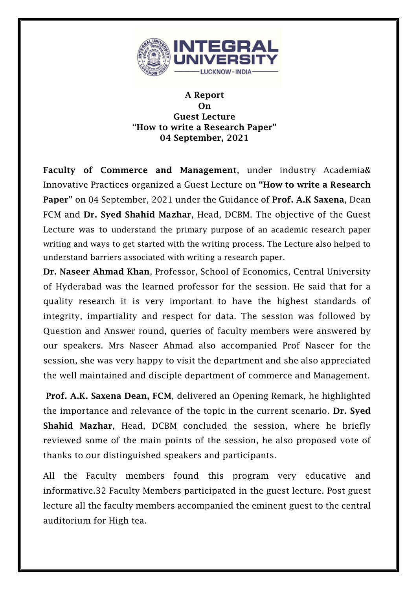

## A Report On Guest Lecture "How to write a Research Paper" 04 September, 2021

Faculty of Commerce and Management, under industry Academia& Innovative Practices organized a Guest Lecture on "How to write a Research Paper" on 04 September, 2021 under the Guidance of Prof. A.K Saxena, Dean FCM and Dr. Syed Shahid Mazhar, Head, DCBM. The objective of the Guest Lecture was to understand the primary purpose of an academic research paper writing and ways to get started with the writing process. The Lecture also helped to understand barriers associated with writing a research paper.

Dr. Naseer Ahmad Khan, Professor, School of Economics, Central University of Hyderabad was the learned professor for the session. He said that for a quality research it is very important to have the highest standards of integrity, impartiality and respect for data. The session was followed by Question and Answer round, queries of faculty members were answered by our speakers. Mrs Naseer Ahmad also accompanied Prof Naseer for the session, she was very happy to visit the department and she also appreciated the well maintained and disciple department of commerce and Management.

Prof. A.K. Saxena Dean, FCM, delivered an Opening Remark, he highlighted the importance and relevance of the topic in the current scenario. Dr. Syed Shahid Mazhar, Head, DCBM concluded the session, where he briefly reviewed some of the main points of the session, he also proposed vote of thanks to our distinguished speakers and participants.

All the Faculty members found this program very educative and informative.32 Faculty Members participated in the guest lecture. Post guest lecture all the faculty members accompanied the eminent guest to the central auditorium for High tea.